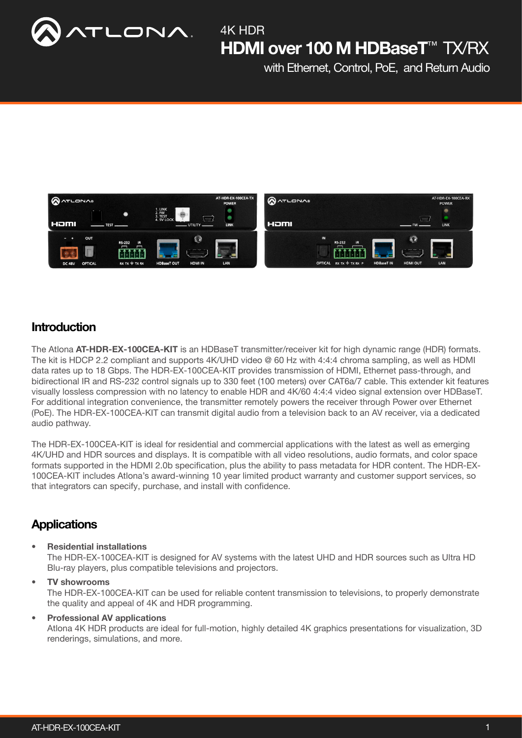

with Ethernet, Control, PoE, and Return Audio



### **Introduction**

The Atlona AT-HDR-EX-100CEA-KIT is an HDBaseT transmitter/receiver kit for high dynamic range (HDR) formats. The kit is HDCP 2.2 compliant and supports 4K/UHD video @ 60 Hz with 4:4:4 chroma sampling, as well as HDMI data rates up to 18 Gbps. The HDR-EX-100CEA-KIT provides transmission of HDMI, Ethernet pass-through, and bidirectional IR and RS-232 control signals up to 330 feet (100 meters) over CAT6a/7 cable. This extender kit features visually lossless compression with no latency to enable HDR and 4K/60 4:4:4 video signal extension over HDBaseT. For additional integration convenience, the transmitter remotely powers the receiver through Power over Ethernet (PoE). The HDR-EX-100CEA-KIT can transmit digital audio from a television back to an AV receiver, via a dedicated audio pathway.

The HDR-EX-100CEA-KIT is ideal for residential and commercial applications with the latest as well as emerging 4K/UHD and HDR sources and displays. It is compatible with all video resolutions, audio formats, and color space formats supported in the HDMI 2.0b specification, plus the ability to pass metadata for HDR content. The HDR-EX-100CEA-KIT includes Atlona's award-winning 10 year limited product warranty and customer support services, so that integrators can specify, purchase, and install with confidence.

### **Applications**

• Residential installations

The HDR-EX-100CEA-KIT is designed for AV systems with the latest UHD and HDR sources such as Ultra HD Blu-ray players, plus compatible televisions and projectors.

# • TV showrooms

The HDR-EX-100CEA-KIT can be used for reliable content transmission to televisions, to properly demonstrate the quality and appeal of 4K and HDR programming.

#### • Professional AV applications

Atlona 4K HDR products are ideal for full-motion, highly detailed 4K graphics presentations for visualization, 3D renderings, simulations, and more.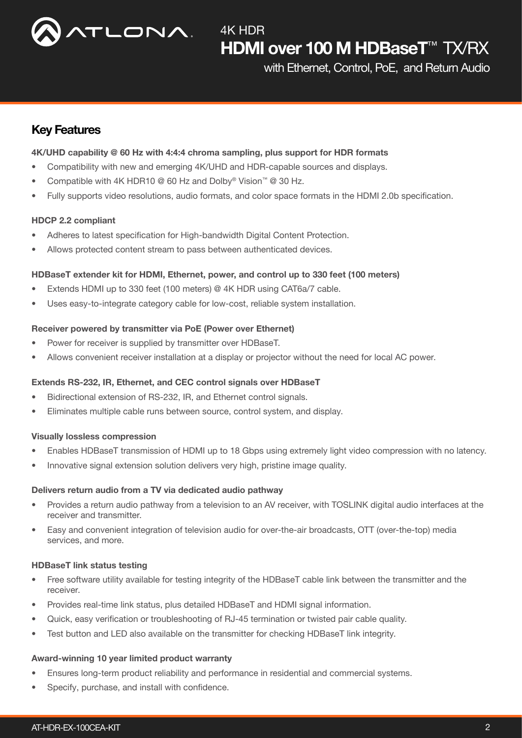

with Ethernet, Control, PoE, and Return Audio

### Key Features

#### 4K/UHD capability @ 60 Hz with 4:4:4 chroma sampling, plus support for HDR formats

- Compatibility with new and emerging 4K/UHD and HDR-capable sources and displays.
- Compatible with 4K HDR10 @ 60 Hz and Dolby<sup>®</sup> Vision<sup>™</sup> @ 30 Hz.
- Fully supports video resolutions, audio formats, and color space formats in the HDMI 2.0b specification.

#### HDCP 2.2 compliant

- Adheres to latest specification for High-bandwidth Digital Content Protection.
- Allows protected content stream to pass between authenticated devices.

#### HDBaseT extender kit for HDMI, Ethernet, power, and control up to 330 feet (100 meters)

- Extends HDMI up to 330 feet (100 meters) @ 4K HDR using CAT6a/7 cable.
- Uses easy-to-integrate category cable for low-cost, reliable system installation.

#### Receiver powered by transmitter via PoE (Power over Ethernet)

- Power for receiver is supplied by transmitter over HDBaseT.
- Allows convenient receiver installation at a display or projector without the need for local AC power.

#### Extends RS-232, IR, Ethernet, and CEC control signals over HDBaseT

- Bidirectional extension of RS-232, IR, and Ethernet control signals.
- Eliminates multiple cable runs between source, control system, and display.

#### Visually lossless compression

- Enables HDBaseT transmission of HDMI up to 18 Gbps using extremely light video compression with no latency.
- Innovative signal extension solution delivers very high, pristine image quality.

#### Delivers return audio from a TV via dedicated audio pathway

- Provides a return audio pathway from a television to an AV receiver, with TOSLINK digital audio interfaces at the receiver and transmitter.
- Easy and convenient integration of television audio for over-the-air broadcasts, OTT (over-the-top) media services, and more.

#### HDBaseT link status testing

- Free software utility available for testing integrity of the HDBaseT cable link between the transmitter and the receiver.
- Provides real-time link status, plus detailed HDBaseT and HDMI signal information.
- Quick, easy verification or troubleshooting of RJ-45 termination or twisted pair cable quality.
- Test button and LED also available on the transmitter for checking HDBaseT link integrity.

#### Award-winning 10 year limited product warranty

- Ensures long-term product reliability and performance in residential and commercial systems.
- Specify, purchase, and install with confidence.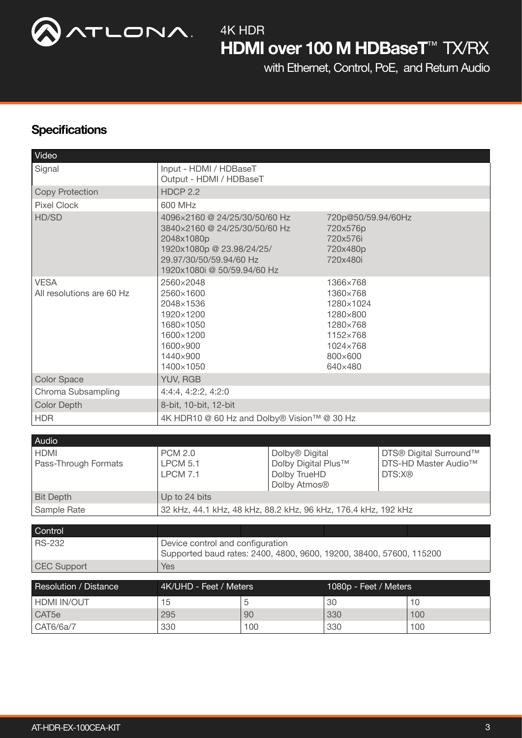

with Ethernet, Control, PoE, and Return Audio

## **Specifications**

| Video                                    |                                                                                                                                                                     |     |                                                                                                         |                                                                    |                                                                      |     |  |
|------------------------------------------|---------------------------------------------------------------------------------------------------------------------------------------------------------------------|-----|---------------------------------------------------------------------------------------------------------|--------------------------------------------------------------------|----------------------------------------------------------------------|-----|--|
| Signal                                   | Input - HDMI / HDBaseT                                                                                                                                              |     |                                                                                                         |                                                                    |                                                                      |     |  |
|                                          | Output - HDMI / HDBaseT                                                                                                                                             |     |                                                                                                         |                                                                    |                                                                      |     |  |
| <b>Copy Protection</b>                   | <b>HDCP 2.2</b>                                                                                                                                                     |     |                                                                                                         |                                                                    |                                                                      |     |  |
| <b>Pixel Clock</b>                       | 600 MHz                                                                                                                                                             |     |                                                                                                         |                                                                    |                                                                      |     |  |
| HD/SD                                    | 4096×2160 @ 24/25/30/50/60 Hz<br>3840×2160 @ 24/25/30/50/60 Hz<br>2048x1080p<br>1920x1080p @ 23.98/24/25/<br>29.97/30/50/59.94/60 Hz<br>1920x1080i @ 50/59.94/60 Hz |     |                                                                                                         | 720p@50/59.94/60Hz<br>720x576p<br>720x576i<br>720x480p<br>720x480i |                                                                      |     |  |
| <b>VESA</b><br>All resolutions are 60 Hz | 2560×2048<br>2560×1600<br>2048×1536<br>1920×1200<br>1680×1050<br>1600×1200<br>1600×900<br>1440×900<br>1400×1050                                                     |     | 1366×768<br>1360×768<br>1280×1024<br>1280×800<br>1280×768<br>1152×768<br>1024×768<br>800×600<br>640×480 |                                                                    |                                                                      |     |  |
| <b>Color Space</b>                       | YUV, RGB                                                                                                                                                            |     |                                                                                                         |                                                                    |                                                                      |     |  |
| Chroma Subsampling                       | 4:4:4, 4:2:2, 4:2:0                                                                                                                                                 |     |                                                                                                         |                                                                    |                                                                      |     |  |
| <b>Color Depth</b>                       | 8-bit, 10-bit, 12-bit                                                                                                                                               |     |                                                                                                         |                                                                    |                                                                      |     |  |
| <b>HDR</b>                               | 4K HDR10 @ 60 Hz and Dolby® Vision™ @ 30 Hz                                                                                                                         |     |                                                                                                         |                                                                    |                                                                      |     |  |
|                                          |                                                                                                                                                                     |     |                                                                                                         |                                                                    |                                                                      |     |  |
| Audio                                    |                                                                                                                                                                     |     |                                                                                                         |                                                                    |                                                                      |     |  |
| <b>HDMI</b><br>Pass-Through Formats      | <b>PCM 2.0</b><br><b>LPCM 5.1</b><br><b>LPCM 7.1</b>                                                                                                                |     | Dolby <sup>®</sup> Digital<br>Dolby Digital Plus™<br>Dolby TrueHD<br>Dolby Atmos <sup>®</sup>           |                                                                    | DTS® Digital Surround™<br>DTS-HD Master Audio <sup>™</sup><br>DTS:X® |     |  |
| <b>Bit Depth</b>                         | Up to 24 bits                                                                                                                                                       |     |                                                                                                         |                                                                    |                                                                      |     |  |
| Sample Rate                              | 32 kHz, 44.1 kHz, 48 kHz, 88.2 kHz, 96 kHz, 176.4 kHz, 192 kHz                                                                                                      |     |                                                                                                         |                                                                    |                                                                      |     |  |
|                                          |                                                                                                                                                                     |     |                                                                                                         |                                                                    |                                                                      |     |  |
| Control                                  |                                                                                                                                                                     |     |                                                                                                         |                                                                    |                                                                      |     |  |
| <b>RS-232</b>                            | Device control and configuration<br>Supported baud rates: 2400, 4800, 9600, 19200, 38400, 57600, 115200                                                             |     |                                                                                                         |                                                                    |                                                                      |     |  |
| <b>CEC Support</b>                       | <b>Yes</b>                                                                                                                                                          |     |                                                                                                         |                                                                    |                                                                      |     |  |
| <b>Resolution / Distance</b>             | 4K/UHD - Feet / Meters                                                                                                                                              |     |                                                                                                         | 1080p - Feet / Meters                                              |                                                                      |     |  |
|                                          |                                                                                                                                                                     |     |                                                                                                         |                                                                    |                                                                      |     |  |
| HDMI IN/OUT                              | 15                                                                                                                                                                  | 5   |                                                                                                         | 30                                                                 |                                                                      | 10  |  |
| CAT <sub>5e</sub>                        | 295                                                                                                                                                                 | 90  |                                                                                                         | 330                                                                |                                                                      | 100 |  |
| CAT6/6a/7                                | 330                                                                                                                                                                 | 100 |                                                                                                         | 330                                                                |                                                                      | 100 |  |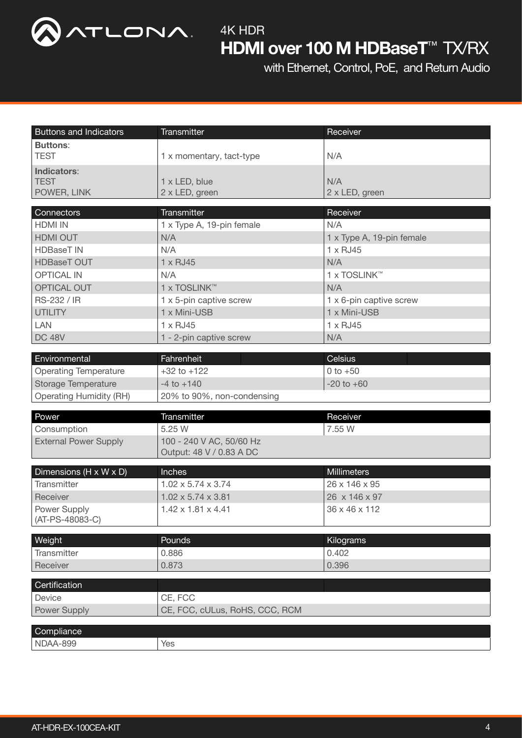

with Ethernet, Control, PoE, and Return Audio

| <b>Buttons and Indicators</b>  | Transmitter                    | Receiver                  |  |  |  |
|--------------------------------|--------------------------------|---------------------------|--|--|--|
| <b>Buttons:</b>                |                                |                           |  |  |  |
| <b>TEST</b>                    | 1 x momentary, tact-type       | N/A                       |  |  |  |
| Indicators:                    |                                |                           |  |  |  |
| <b>TEST</b>                    | 1 x LED, blue                  | N/A                       |  |  |  |
| POWER, LINK                    | 2 x LED, green                 | 2 x LED, green            |  |  |  |
| Connectors                     | Transmitter                    | Receiver                  |  |  |  |
| <b>HDMI IN</b>                 | 1 x Type A, 19-pin female      | N/A                       |  |  |  |
| HDMI OUT                       | N/A                            | 1 x Type A, 19-pin female |  |  |  |
| <b>HDBaseT IN</b>              | N/A                            | $1 \times$ RJ45           |  |  |  |
| <b>HDBaseT OUT</b>             | 1 x RJ45                       | N/A                       |  |  |  |
| <b>OPTICAL IN</b>              | N/A                            | 1 x TOSLINK™              |  |  |  |
| OPTICAL OUT                    | 1 x TOSLINK™                   | N/A                       |  |  |  |
| RS-232 / IR                    | 1 x 5-pin captive screw        | 1 x 6-pin captive screw   |  |  |  |
| <b>UTILITY</b>                 | 1 x Mini-USB                   | 1 x Mini-USB              |  |  |  |
| <b>LAN</b>                     | $1 \times$ RJ45                | 1 x RJ45                  |  |  |  |
| <b>DC 48V</b>                  | 1 - 2-pin captive screw        | N/A                       |  |  |  |
|                                |                                |                           |  |  |  |
| Environmental                  | Fahrenheit                     | Celsius                   |  |  |  |
| <b>Operating Temperature</b>   | $+32$ to $+122$                | 0 to $+50$                |  |  |  |
| <b>Storage Temperature</b>     | $-4$ to $+140$                 | $-20$ to $+60$            |  |  |  |
| <b>Operating Humidity (RH)</b> | 20% to 90%, non-condensing     |                           |  |  |  |
| Power                          | Transmitter                    | Receiver                  |  |  |  |
| Consumption                    | 5.25 W                         | 7.55 W                    |  |  |  |
| <b>External Power Supply</b>   | 100 - 240 V AC, 50/60 Hz       |                           |  |  |  |
|                                | Output: 48 V / 0.83 A DC       |                           |  |  |  |
|                                |                                |                           |  |  |  |
| Dimensions (H x W x D)         | Inches                         | <b>Millimeters</b>        |  |  |  |
| Transmitter                    | $1.02 \times 5.74 \times 3.74$ | 26 x 146 x 95             |  |  |  |
| Receiver                       | $1.02 \times 5.74 \times 3.81$ | 26 x 146 x 97             |  |  |  |
| Power Supply                   | $1.42 \times 1.81 \times 4.41$ | 36 x 46 x 112             |  |  |  |
| (AT-PS-48083-C)                |                                |                           |  |  |  |
| Weight                         | Pounds                         | Kilograms                 |  |  |  |
| Transmitter                    | 0.886                          | 0.402                     |  |  |  |
| Receiver                       | 0.873                          | 0.396                     |  |  |  |
|                                |                                |                           |  |  |  |
| Certification                  |                                |                           |  |  |  |
| Device                         | CE, FCC                        |                           |  |  |  |
| <b>Power Supply</b>            | CE, FCC, cULus, RoHS, CCC, RCM |                           |  |  |  |
| Compliance                     |                                |                           |  |  |  |
| NDAA-899                       | Yes                            |                           |  |  |  |